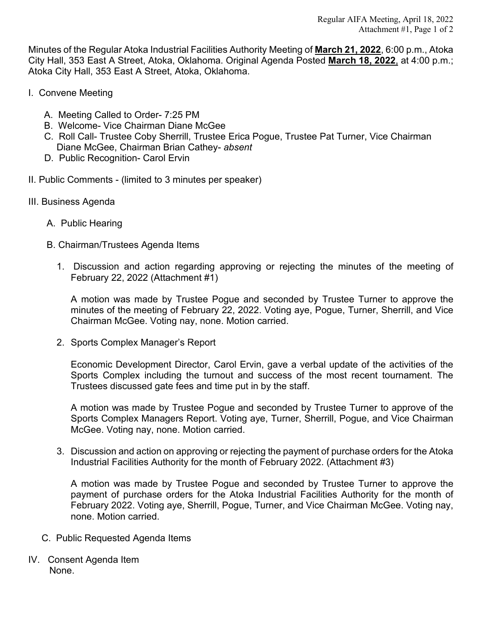Minutes of the Regular Atoka Industrial Facilities Authority Meeting of **March 21, 2022**, 6:00 p.m., Atoka City Hall, 353 East A Street, Atoka, Oklahoma. Original Agenda Posted **March 18, 2022**, at 4:00 p.m.; Atoka City Hall, 353 East A Street, Atoka, Oklahoma.

- I. Convene Meeting
	- A. Meeting Called to Order- 7:25 PM
	- B. Welcome- Vice Chairman Diane McGee
	- C. Roll Call- Trustee Coby Sherrill, Trustee Erica Pogue, Trustee Pat Turner, Vice Chairman Diane McGee, Chairman Brian Cathey- *absent*
	- D. Public Recognition- Carol Ervin
- II. Public Comments (limited to 3 minutes per speaker)
- III. Business Agenda
	- A. Public Hearing
	- B. Chairman/Trustees Agenda Items
		- 1. Discussion and action regarding approving or rejecting the minutes of the meeting of February 22, 2022 (Attachment #1)

A motion was made by Trustee Pogue and seconded by Trustee Turner to approve the minutes of the meeting of February 22, 2022. Voting aye, Pogue, Turner, Sherrill, and Vice Chairman McGee. Voting nay, none. Motion carried.

2. Sports Complex Manager's Report

Economic Development Director, Carol Ervin, gave a verbal update of the activities of the Sports Complex including the turnout and success of the most recent tournament. The Trustees discussed gate fees and time put in by the staff.

A motion was made by Trustee Pogue and seconded by Trustee Turner to approve of the Sports Complex Managers Report. Voting aye, Turner, Sherrill, Pogue, and Vice Chairman McGee. Voting nay, none. Motion carried.

3. Discussion and action on approving or rejecting the payment of purchase orders for the Atoka Industrial Facilities Authority for the month of February 2022. (Attachment #3)

A motion was made by Trustee Pogue and seconded by Trustee Turner to approve the payment of purchase orders for the Atoka Industrial Facilities Authority for the month of February 2022. Voting aye, Sherrill, Pogue, Turner, and Vice Chairman McGee. Voting nay, none. Motion carried.

- C. Public Requested Agenda Items
- IV. Consent Agenda Item None.